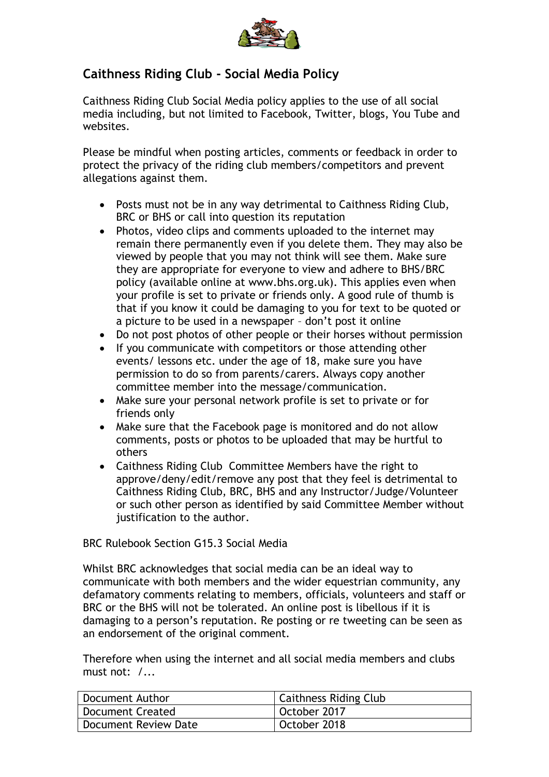

## **Caithness Riding Club - Social Media Policy**

Caithness Riding Club Social Media policy applies to the use of all social media including, but not limited to Facebook, Twitter, blogs, You Tube and websites.

Please be mindful when posting articles, comments or feedback in order to protect the privacy of the riding club members/competitors and prevent allegations against them.

- Posts must not be in any way detrimental to Caithness Riding Club, BRC or BHS or call into question its reputation
- Photos, video clips and comments uploaded to the internet may remain there permanently even if you delete them. They may also be viewed by people that you may not think will see them. Make sure they are appropriate for everyone to view and adhere to BHS/BRC policy (available online at www.bhs.org.uk). This applies even when your profile is set to private or friends only. A good rule of thumb is that if you know it could be damaging to you for text to be quoted or a picture to be used in a newspaper – don't post it online
- Do not post photos of other people or their horses without permission
- If you communicate with competitors or those attending other events/ lessons etc. under the age of 18, make sure you have permission to do so from parents/carers. Always copy another committee member into the message/communication.
- Make sure your personal network profile is set to private or for friends only
- Make sure that the Facebook page is monitored and do not allow comments, posts or photos to be uploaded that may be hurtful to others
- Caithness Riding Club Committee Members have the right to approve/deny/edit/remove any post that they feel is detrimental to Caithness Riding Club, BRC, BHS and any Instructor/Judge/Volunteer or such other person as identified by said Committee Member without justification to the author.

## BRC Rulebook Section G15.3 Social Media

Whilst BRC acknowledges that social media can be an ideal way to communicate with both members and the wider equestrian community, any defamatory comments relating to members, officials, volunteers and staff or BRC or the BHS will not be tolerated. An online post is libellous if it is damaging to a person's reputation. Re posting or re tweeting can be seen as an endorsement of the original comment.

Therefore when using the internet and all social media members and clubs must not: /...

| Document Author         | <b>Caithness Riding Club</b> |
|-------------------------|------------------------------|
| <b>Document Created</b> | October 2017                 |
| Document Review Date    | October 2018                 |